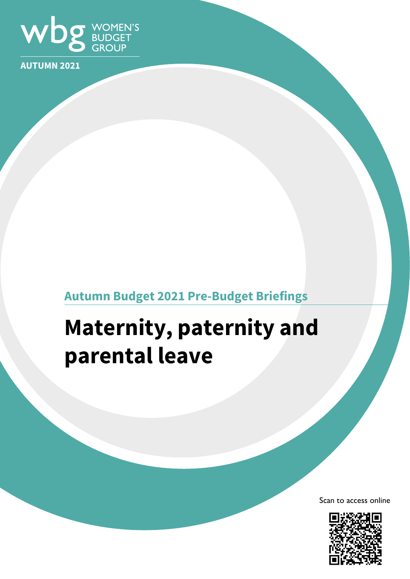

**AUTUMN 2021**

## **Autumn Budget 2021 Pre-Budget Briefings**

# **Maternity, paternity and parental leave**

Scan to access online

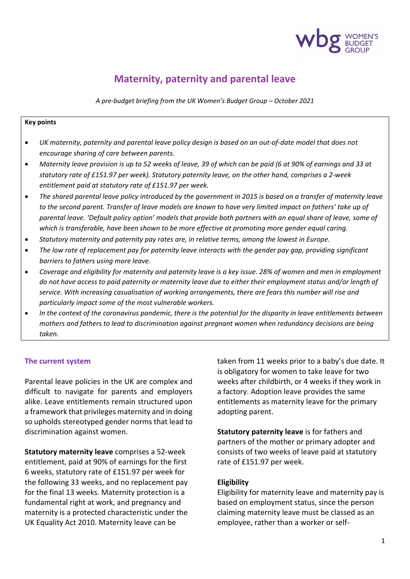

### **Maternity, paternity and parental leave**

*A pre-budget briefing from the UK Women's Budget Group – October 2021*

#### **Key points**

- *UK maternity, paternity and parental leave policy design is based on an out-of-date model that does not encourage sharing of care between parents.*
- *Maternity leave provision is up to 52 weeks of leave, 39 of which can be paid (6 at 90% of earnings and 33 at statutory rate of £151.97 per week). Statutory paternity leave, on the other hand, comprises a 2-week entitlement paid at statutory rate of £151.97 per week.*
- *The shared parental leave policy introduced by the government in 2015 is based on a transfer of maternity leave to the second parent. Transfer of leave models are known to have very limited impact on fathers' take up of*  parental leave. 'Default policy option' models that provide both partners with an equal share of leave, some of *which is transferable, have been shown to be more effective at promoting more gender equal caring.*
- *Statutory maternity and paternity pay rates are, in relative terms, among the lowest in Europe.*
- *The low rate of replacement pay for paternity leave interacts with the gender pay gap, providing significant barriers to fathers using more leave.*
- *Coverage and eligibility for maternity and paternity leave is a key issue. 28% of women and men in employment do not have access to paid paternity or maternity leave due to either their employment status and/or length of service. With increasing casualisation of working arrangements, there are fears this number will rise and particularly impact some of the most vulnerable workers.*
- *In the context of the coronavirus pandemic, there is the potential for the disparity in leave entitlements between mothers and fathers to lead to discrimination against pregnant women when redundancy decisions are being taken.*

#### **The current system**

Parental leave policies in the UK are complex and difficult to navigate for parents and employers alike. Leave entitlements remain structured upon a framework that privileges maternity and in doing so upholds stereotyped gender norms that lead to discrimination against women.

**Statutory maternity leave** comprises a 52-week entitlement, paid at 90% of earnings for the first 6 weeks, statutory rate of £151.97 per week for the following 33 weeks, and no replacement pay for the final 13 weeks. Maternity protection is a fundamental right at work, and pregnancy and maternity is a protected characteristic under the UK Equality Act 2010. Maternity leave can be

taken from 11 weeks prior to a baby's due date. It is obligatory for women to take leave for two weeks after childbirth, or 4 weeks if they work in a factory. Adoption leave provides the same entitlements as maternity leave for the primary adopting parent.

**Statutory paternity leave** is for fathers and partners of the mother or primary adopter and consists of two weeks of leave paid at statutory rate of £151.97 per week.

#### **Eligibility**

Eligibility for maternity leave and maternity pay is based on employment status, since the person claiming maternity leave must be classed as an employee, rather than a worker or self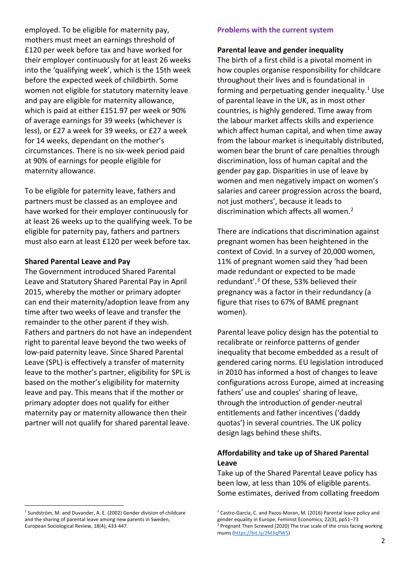employed. To be eligible for maternity pay, mothers must meet an earnings threshold of £120 per week before tax and have worked for their employer continuously for at least 26 weeks into the 'qualifying week', which is the 15th week before the expected week of childbirth. Some women not eligible for statutory maternity leave and pay are eligible for maternity allowance, which is paid at either £151.97 per week or 90% of average earnings for 39 weeks (whichever is less), or £27 a week for 39 weeks, or £27 a week for 14 weeks, dependant on the mother's circumstances. There is no six-week period paid at 90% of earnings for people eligible for maternity allowance.

To be eligible for paternity leave, fathers and partners must be classed as an employee and have worked for their employer continuously for at least 26 weeks up to the qualifying week. To be eligible for paternity pay, fathers and partners must also earn at least £120 per week before tax.

#### **Shared Parental Leave and Pay**

The Government introduced Shared Parental Leave and Statutory Shared Parental Pay in April 2015, whereby the mother or primary adopter can end their maternity/adoption leave from any time after two weeks of leave and transfer the remainder to the other parent if they wish. Fathers and partners do not have an independent right to parental leave beyond the two weeks of low-paid paternity leave. Since Shared Parental Leave (SPL) is effectively a transfer of maternity leave to the mother's partner, eligibility for SPL is based on the mother's eligibility for maternity leave and pay. This means that if the mother or primary adopter does not qualify for either maternity pay or maternity allowance then their partner will not qualify for shared parental leave.

-

#### **Problems with the current system**

#### **Parental leave and gender inequality**

The birth of a first child is a pivotal moment in how couples organise responsibility for childcare throughout their lives and is foundational in forming and perpetuating gender inequality.<sup>[1](#page-2-0)</sup> Use of parental leave in the UK, as in most other countries, is highly gendered. Time away from the labour market affects skills and experience which affect human capital, and when time away from the labour market is inequitably distributed, women bear the brunt of care penalties through discrimination, loss of human capital and the gender pay gap. Disparities in use of leave by women and men negatively impact on women's salaries and career progression across the board, not just mothers', because it leads to discrimination which affects all women.<sup>2</sup>

There are indications that discrimination against pregnant women has been heightened in the context of Covid. In a survey of 20,000 women, 11% of pregnant women said they 'had been made redundant or expected to be made redundant'.<sup>[3](#page-2-1)</sup> Of these, 53% believed their pregnancy was a factor in their redundancy (a figure that rises to 67% of BAME pregnant women).

Parental leave policy design has the potential to recalibrate or reinforce patterns of gender inequality that become embedded as a result of gendered caring norms. EU legislation introduced in 2010 has informed a host of changes to leave configurations across Europe, aimed at increasing fathers' use and couples' sharing of leave, through the introduction of gender-neutral entitlements and father incentives ('daddy quotas') in several countries. The UK policy design lags behind these shifts.

#### **Affordability and take up of Shared Parental Leave**

Take up of the Shared Parental Leave policy has been low, at less than 10% of eligible parents. Some estimates, derived from collating freedom

<span id="page-2-1"></span><span id="page-2-0"></span><sup>&</sup>lt;sup>1</sup> Sundström, M. and Duvander, A. E. (2002) Gender division of childcare and the sharing of parental leave among new parents in Sweden, European Sociological Review, 18(4), 433-447.

<sup>&</sup>lt;sup>2</sup> Castro-García, C. and Pazos-Moran, M. (2016) Parental leave policy and gender equality in Europe, Feminist Economics, 22(3), pp51–73

<sup>&</sup>lt;sup>3</sup> Pregnant Then Screwed (2020) The true scale of the crisis facing working mums [\(https://bit.ly/2M3qPW5\)](https://bit.ly/2M3qPW5)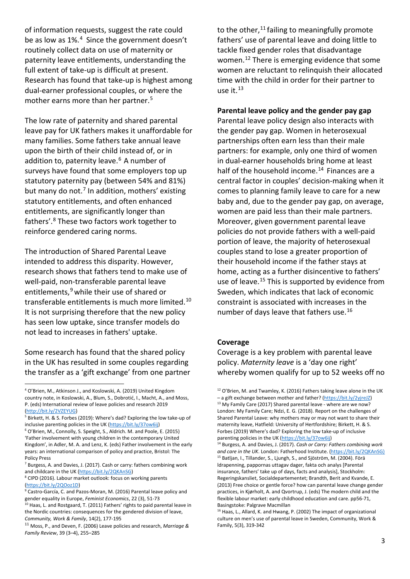of information requests, suggest the rate could be as low as 1%.[4](#page-3-0) Since the government doesn't routinely collect data on use of maternity or paternity leave entitlements, understanding the full extent of take-up is difficult at present. Research has found that take-up is highest among dual-earner professional couples, or where the mother earns more than her partner.<sup>[5](#page-3-1)</sup>

The low rate of paternity and shared parental leave pay for UK fathers makes it unaffordable for many families. Some fathers take annual leave upon the birth of their child instead of, or in addition to, paternity leave.<sup>[6](#page-3-2)</sup> A number of surveys have found that some employers top up statutory paternity pay (between 54% and 81%) but many do not.<sup>[7](#page-3-3)</sup> In addition, mothers' existing statutory entitlements, and often enhanced entitlements, are significantly longer than fathers'.[8](#page-3-4) These two factors work together to reinforce gendered caring norms.

The introduction of Shared Parental Leave intended to address this disparity. However, research shows that fathers tend to make use of well-paid, non-transferable parental leave entitlements,<sup>9</sup> while their use of shared or transferable entitlements is much more limited.[10](#page-3-6) It is not surprising therefore that the new policy has seen low uptake, since transfer models do not lead to increases in fathers' uptake.

Some research has found that the shared policy in the UK has resulted in some couples regarding the transfer as a 'gift exchange' from one partner

<u>.</u>

to the other, $11$  failing to meaningfully promote fathers' use of parental leave and doing little to tackle fixed gender roles that disadvantage women.[12](#page-3-0) There is emerging evidence that some women are reluctant to relinquish their allocated time with the child in order for their partner to use it. $13$ 

#### **Parental leave policy and the gender pay gap**

Parental leave policy design also interacts with the gender pay gap. Women in heterosexual partnerships often earn less than their male partners: for example, only one third of women in dual-earner households bring home at least half of the household income.<sup>[14](#page-3-9)</sup> Finances are a central factor in couples' decision-making when it comes to planning family leave to care for a new baby and, due to the gender pay gap, on average, women are paid less than their male partners. Moreover, given government parental leave policies do not provide fathers with a well-paid portion of leave, the majority of heterosexual couples stand to lose a greater proportion of their household income if the father stays at home, acting as a further disincentive to fathers' use of leave.<sup>[15](#page-3-10)</sup> This is supported by evidence from Sweden, which indicates that lack of economic constraint is associated with increases in the number of days leave that fathers use.[16](#page-3-11)

#### **Coverage**

Coverage is a key problem with parental leave policy. *Maternity leave* is a 'day one right' whereby women qualify for up to 52 weeks off no

<span id="page-3-0"></span><sup>4</sup> O'Brien, M., Atkinson J., and Koslowski, A. (2019) United Kingdom country note, in Koslowski, A., Blum, S., Dobrotić, I., Macht, A., and Moss, P. (eds) International review of leave policies and research 2019

<span id="page-3-8"></span><span id="page-3-1"></span>[<sup>\(</sup>http://bit.ly/2VZEYUG\)](http://bit.ly/2VZEYUG)<br><sup>5</sup> Birkett, H. & S. Forbes (2019): Where's dad? Exploring the low take-up of inclusive parenting policies in the UK [\(https://bit.ly/37ow6ij\)](https://bit.ly/37ow6ij)<br><sup>6</sup> O'Brien, M., Connolly, S. Speight, S., Aldrich. M. and Poole, E. (2015)

<span id="page-3-9"></span><span id="page-3-2"></span><sup>&#</sup>x27;Father involvement with young children in the contemporary United Kingdom', in Adler, M. A. and Lenz, K. (eds) Father involvement in the early years: an international comparison of policy and practice, Bristol: The Policy Press

<span id="page-3-10"></span><span id="page-3-3"></span><sup>&</sup>lt;sup>7</sup> Burgess, A. and Davies, J. (2017). Cash or carry: fathers combining work and childcare in the UK (https://bit.ly/2QKAnSG)

<span id="page-3-4"></span><sup>&</sup>lt;sup>8</sup> CIPD (2016). Labour market outlook: focus on working parents [\(https://bit.ly/2QOoz1D\)](https://bit.ly/2QOoz1D)<br><sup>9</sup> Castro-García, C. and Pazos-Moran, M. (2016) Parental leave policy and

<span id="page-3-5"></span>gender equality in Europe, *Feminist Economics*, 22 (3), 51-73<br><sup>10</sup> Haas, L. and Rostgaard, T. (2011) Fathers' rights to paid parental leave in

<span id="page-3-11"></span><span id="page-3-6"></span>the Nordic countries: consequences for the gendered division of leave, *Community, Work & Family*, 14(2), 177-195<br><sup>11</sup> Moss, P., and Deven, F. (2006) Leave policies and research, *Marriage &* 

<span id="page-3-7"></span>*Family Review*, 39 (3–4), 255–285

<sup>&</sup>lt;sup>12</sup> O'Brien, M. and Twamley, K. (2016) Fathers taking leave alone in the UK – a gift exchange between mother and father? [\(https://bit.ly/2yjreJZ\)](https://bit.ly/2yjreJZ) <sup>13</sup> My Family Care (2017) Shared parental leave - where are we now? London: My Family Care; Ndzi, E. G. (2018). Report on the challenges of Shared Parental Leave: why mothers may or may not want to share their maternity leave, Hatfield: University of Hertfordshire; Birkett, H. & S. Forbes (2019) Where's dad? Exploring the low take-up of inclusive parenting policies in the UK [\(https://bit.ly/37ow6ij\)](https://bit.ly/37ow6ij)<br><sup>14</sup> Burgess, A. and Davies, J. (2017). *Cash or Carry: Fathers combining work* 

*and care in the UK*. London: Fatherhood Institute. [\(https://bit.ly/2QKAnSG\)](https://bit.ly/2QKAnSG) <sup>15</sup> Batljan, I., Tillander, S., Ljungh, S., and Sjöström, M. (2004). Förä ldrapenning, pappornas uttagav dager, fakta och analys [Parental insurance, fathers' take up of days, facts and analysis], Stockholm: Regeringskansliet, Socialdepartementet; Brandth, Berit and Kvande, E. (2013) Free choice or gentle force? how can parental leave change gender practices, in Kjørholt, A. and Qvortrup, J. (eds) The modern child and the flexible labour market: early childhood education and care. pp56-71, Basingstoke: Palgrave Macmillan

<sup>16</sup> Haas, L., Allard, K. and Hwang, P. (2002) The impact of organizational culture on men's use of parental leave in Sweden, Community, Work & Family, 5(3), 319-342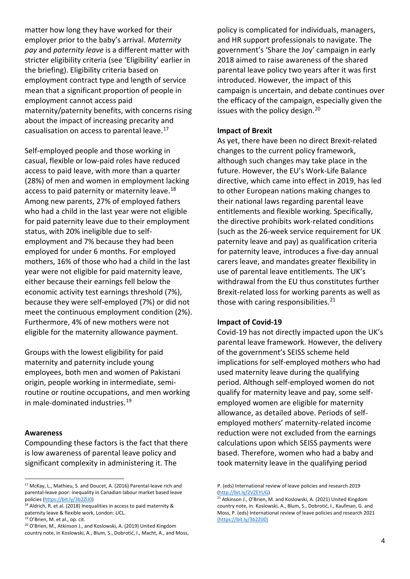matter how long they have worked for their employer prior to the baby's arrival. *Maternity pay* and *paternity leave* is a different matter with stricter eligibility criteria (see 'Eligibility' earlier in the briefing). Eligibility criteria based on employment contract type and length of service mean that a significant proportion of people in employment cannot access paid maternity/paternity benefits, with concerns rising about the impact of increasing precarity and casualisation on access to parental leave.<sup>[17](#page-4-0)</sup>

Self-employed people and those working in casual, flexible or low-paid roles have reduced access to paid leave, with more than a quarter (28%) of men and women in employment lacking access to paid paternity or maternity leave.<sup>[18](#page-4-1)</sup> Among new parents, 27% of employed fathers who had a child in the last year were not eligible for paid paternity leave due to their employment status, with 20% ineligible due to selfemployment and 7% because they had been employed for under 6 months. For employed mothers, 16% of those who had a child in the last year were not eligible for paid maternity leave, either because their earnings fell below the economic activity test earnings threshold (7%), because they were self-employed (7%) or did not meet the continuous employment condition (2%). Furthermore, 4% of new mothers were not eligible for the maternity allowance payment.

Groups with the lowest eligibility for paid maternity and paternity include young employees, both men and women of Pakistani origin, people working in intermediate, semiroutine or routine occupations, and men working in male-dominated industries.[19](#page-4-2)

#### **Awareness**

<u>.</u>

Compounding these factors is the fact that there is low awareness of parental leave policy and significant complexity in administering it. The

policy is complicated for individuals, managers, and HR support professionals to navigate. The government's 'Share the Joy' campaign in early 2018 aimed to raise awareness of the shared parental leave policy two years after it was first introduced. However, the impact of this campaign is uncertain, and debate continues over the efficacy of the campaign, especially given the issues with the policy design.<sup>[20](#page-4-3)</sup>

#### **Impact of Brexit**

As yet, there have been no direct Brexit-related changes to the current policy framework, although such changes may take place in the future. However, the EU's Work-Life Balance directive, which came into effect in 2019, has led to other European nations making changes to their national laws regarding parental leave entitlements and flexible working. Specifically, the directive prohibits work-related conditions (such as the 26-week service requirement for UK paternity leave and pay) as qualification criteria for paternity leave, introduces a five-day annual carers leave, and mandates greater flexibility in use of parental leave entitlements. The UK's withdrawal from the EU thus constitutes further Brexit-related loss for working parents as well as those with caring responsibilities. $21$ 

#### **Impact of Covid-19**

Covid-19 has not directly impacted upon the UK's parental leave framework. However, the delivery of the government's SEISS scheme held implications for self-employed mothers who had used maternity leave during the qualifying period. Although self-employed women do not qualify for maternity leave and pay, some selfemployed women are eligible for maternity allowance, as detailed above. Periods of selfemployed mothers' maternity-related income reduction were not excluded from the earnings calculations upon which SEISS payments were based. Therefore, women who had a baby and took maternity leave in the qualifying period

<span id="page-4-0"></span><sup>17</sup> McKay, L., Mathieu, S. and Doucet, A. (2016) Parental-leave rich and parental-leave poor: inequality in Canadian labour market based leave policies [\(https://bit.ly/3b2ZlJ0\)](https://bit.ly/3b2ZlJ0)<br><sup>18</sup> Aldrich, R. et al. (2018) Inequalities in access to paid maternity &

<span id="page-4-4"></span><span id="page-4-1"></span>paternity leave & flexible work, London: UCL.<br><sup>19</sup> O'Brien, M. et al., op. cit.

<span id="page-4-2"></span>

<span id="page-4-3"></span><sup>&</sup>lt;sup>20</sup> O'Brien, M., Atkinson J., and Koslowski, A. (2019) United Kingdom country note, in Koslowski, A., Blum, S., Dobrotić, I., Macht, A., and Moss,

P. (eds) International review of leave policies and research 2019 [\(http://bit.ly/2VZEYUG\)](http://bit.ly/2VZEYUG)<br><sup>21</sup> Atkinson J., O'Brien, M. and Koslowski, A. (2021) United Kingdom

country note, in: Koslowski, A., Blum, S., Dobrotić, I., Kaufman, G. and Moss, P. (eds) International review of leave policies and research 2021 (https://bit.ly/3b2ZlJ0)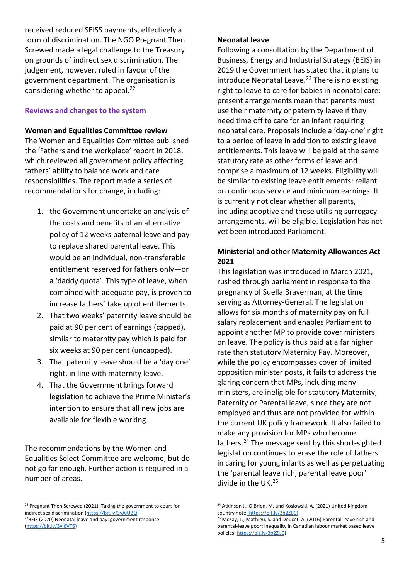received reduced SEISS payments, effectively a form of discrimination. The NGO Pregnant Then Screwed made a legal challenge to the Treasury on grounds of indirect sex discrimination. The judgement, however, ruled in favour of the government department. The organisation is considering whether to appeal. $^{22}$  $^{22}$  $^{22}$ 

#### **Reviews and changes to the system**

**Women and Equalities Committee review** 

The Women and Equalities Committee published the ['Fathers and the workplace'](https://publications.parliament.uk/pa/cm201719/cmselect/cmwomeq/358/358.pdf) report in 2018, which reviewed all government policy affecting fathers' ability to balance work and care responsibilities. The report made a series of recommendations for change, including:

- 1. the Government undertake an analysis of the costs and benefits of an alternative policy of 12 weeks paternal leave and pay to replace shared parental leave. This would be an individual, non-transferable entitlement reserved for fathers only—or a 'daddy quota'. This type of leave, when combined with adequate pay, is proven to increase fathers' take up of entitlements.
- 2. That two weeks' paternity leave should be paid at 90 per cent of earnings (capped), similar to maternity pay which is paid for six weeks at 90 per cent (uncapped).
- 3. That paternity leave should be a 'day one' right, in line with maternity leave.
- 4. That the Government brings forward legislation to achieve the Prime Minister's intention to ensure that all new jobs are available for flexible working.

The recommendations by the Women and Equalities Select Committee are welcome, but do not go far enough. Further action is required in a number of areas.

1

#### **Neonatal leave**

Following a consultation by the Department of Business, Energy and Industrial Strategy (BEIS) in 2019 the Government has stated that it plans to introduce Neonatal Leave. $23$  There is no existing right to leave to care for babies in neonatal care: present arrangements mean that parents must use their maternity or paternity leave if they need time off to care for an infant requiring neonatal care. Proposals include a 'day-one' right to a period of leave in addition to existing leave entitlements. This leave will be paid at the same statutory rate as other forms of leave and comprise a maximum of 12 weeks. Eligibility will be similar to existing leave entitlements: reliant on continuous service and minimum earnings. It is currently not clear whether all parents, including adoptive and those utilising surrogacy arrangements, will be eligible. Legislation has not yet been introduced Parliament.

#### **Ministerial and other Maternity Allowances Act 2021**

This legislation was introduced in March 2021, rushed through parliament in response to the pregnancy of Suella Braverman, at the time serving as Attorney-General. The legislation allows for six months of maternity pay on full salary replacement and enables Parliament to appoint another MP to provide cover ministers on leave. The policy is thus paid at a far higher rate than statutory Maternity Pay. Moreover, while the policy encompasses cover of limited opposition minister posts, it fails to address the glaring concern that MPs, including many ministers, are ineligible for statutory Maternity, Paternity or Parental leave, since they are not employed and thus are not provided for within the current UK policy framework. It also failed to make any provision for MPs who become fathers.<sup>[24](#page-6-0)</sup> The message sent by this short-sighted legislation continues to erase the role of fathers in caring for young infants as well as perpetuating the 'parental leave rich, parental leave poor' divide in the UK.[25](#page-6-1)

<span id="page-5-0"></span><sup>&</sup>lt;sup>22</sup> Pregnant Then Screwed (2021). Taking the government to court for indirect sex discrimination [\(https://bit.ly/3vAiUBQ\)](https://bit.ly/3vAiUBQ)<br><sup>23</sup>BEIS (2020) Neonatal leave and pay: government response [\(https://bit.ly/3vI6VT6\)](https://bit.ly/3vI6VT6)

<sup>&</sup>lt;sup>24</sup> Atkinson J., O'Brien, M. and Koslowski, A. (2021) United Kingdom country note (https://bit.ly/3b2ZlJ0)

<sup>&</sup>lt;sup>25</sup> McKay, L., Mathieu, S. and Doucet, A. (2016) Parental-leave rich and parental-leave poor: inequality in Canadian labour market based leave policies [\(https://bit.ly/3b2ZlJ0\)](https://bit.ly/3b2ZlJ0)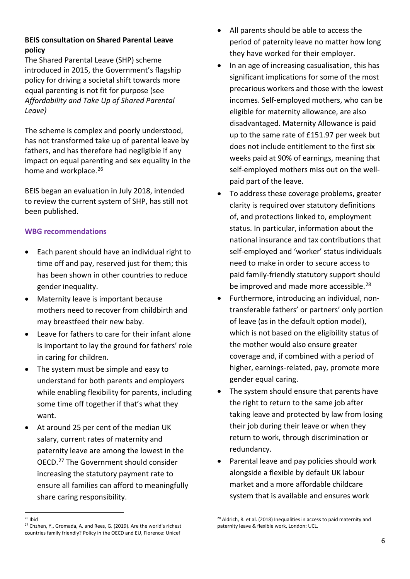#### **BEIS consultation on Shared Parental Leave policy**

The Shared Parental Leave (SHP) scheme introduced in 2015, the Government's flagship policy for driving a societal shift towards more equal parenting is not fit for purpose (see *Affordability and Take Up of Shared Parental Leave)* 

The scheme is complex and poorly understood, has not transformed take up of parental leave by fathers, and has therefore had negligible if any impact on equal parenting and sex equality in the home and workplace.<sup>[26](#page-6-0)</sup>

BEIS began an evaluation in July 2018, intended to review the current system of SHP, has still not been published.

#### **WBG recommendations**

- Each parent should have an individual right to time off and pay, reserved just for them; this has been shown in other countries to reduce gender inequality.
- Maternity leave is important because mothers need to recover from childbirth and may breastfeed their new baby.
- Leave for fathers to care for their infant alone is important to lay the ground for fathers' role in caring for children.
- The system must be simple and easy to understand for both parents and employers while enabling flexibility for parents, including some time off together if that's what they want.
- At around 25 per cent of the median UK salary, current rates of maternity and paternity leave are among the lowest in the OECD. [27](#page-6-2) The Government should consider increasing the statutory payment rate to ensure all families can afford to meaningfully share caring responsibility.
- All parents should be able to access the period of paternity leave no matter how long they have worked for their employer.
- In an age of increasing casualisation, this has significant implications for some of the most precarious workers and those with the lowest incomes. Self-employed mothers, who can be eligible for maternity allowance, are also disadvantaged. Maternity Allowance is paid up to the same rate of £151.97 per week but does not include entitlement to the first six weeks paid at 90% of earnings, meaning that self-employed mothers miss out on the wellpaid part of the leave.
- To address these coverage problems, greater clarity is required over statutory definitions of, and protections linked to, employment status. In particular, information about the national insurance and tax contributions that self-employed and 'worker' status individuals need to make in order to secure access to paid family-friendly statutory support should be improved and made more accessible.<sup>[28](#page-6-3)</sup>
- Furthermore, introducing an individual, nontransferable fathers' or partners' only portion of leave (as in the default option model), which is not based on the eligibility status of the mother would also ensure greater coverage and, if combined with a period of higher, earnings-related, pay, promote more gender equal caring.
- The system should ensure that parents have the right to return to the same job after taking leave and protected by law from losing their job during their leave or when they return to work, through discrimination or redundancy.
- Parental leave and pay policies should work alongside a flexible by default UK labour market and a more affordable childcare system that is available and ensures work

 $28$  Aldrich, R. et al. (2018) Inequalities in access to paid maternity and paternity leave & flexible work, London: UCL.

<span id="page-6-2"></span><span id="page-6-1"></span><span id="page-6-0"></span><sup>-</sup> $26$  Ibid

<span id="page-6-3"></span><sup>&</sup>lt;sup>27</sup> Chzhen, Y., Gromada, A. and Rees, G. (2019). Are the world's richest countries family friendly? Policy in the OECD and EU, Florence: Unicef